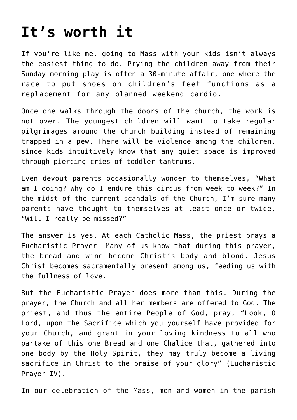## **[It's worth it](https://www.teachingcatholickids.com/its-worth-it/)**

If you're like me, going to Mass with your kids isn't always the easiest thing to do. Prying the children away from their Sunday morning play is often a 30-minute affair, one where the race to put shoes on children's feet functions as a replacement for any planned weekend cardio.

Once one walks through the doors of the church, the work is not over. The youngest children will want to take regular pilgrimages around the church building instead of remaining trapped in a pew. There will be violence among the children, since kids intuitively know that any quiet space is improved through piercing cries of toddler tantrums.

Even devout parents occasionally wonder to themselves, "What am I doing? Why do I endure this circus from week to week?" In the midst of the current scandals of the Church, I'm sure many parents have thought to themselves at least once or twice, "Will I really be missed?"

The answer is yes. At each Catholic Mass, the priest prays a Eucharistic Prayer. Many of us know that during this prayer, the bread and wine become Christ's body and blood. Jesus Christ becomes sacramentally present among us, feeding us with the fullness of love.

But the Eucharistic Prayer does more than this. During the prayer, the Church and all her members are offered to God. The priest, and thus the entire People of God, pray, "Look, O Lord, upon the Sacrifice which you yourself have provided for your Church, and grant in your loving kindness to all who partake of this one Bread and one Chalice that, gathered into one body by the Holy Spirit, they may truly become a living sacrifice in Christ to the praise of your glory" (Eucharistic Prayer IV).

In our celebration of the Mass, men and women in the parish